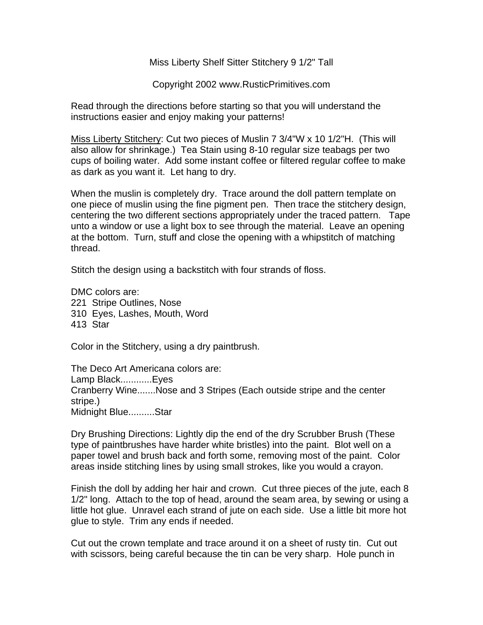Miss Liberty Shelf Sitter Stitchery 9 1/2" Tall

Copyright 2002 www.RusticPrimitives.com

Read through the directions before starting so that you will understand the instructions easier and enjoy making your patterns!

Miss Liberty Stitchery: Cut two pieces of Muslin 7 3/4"W x 10 1/2"H. (This will also allow for shrinkage.) Tea Stain using 8-10 regular size teabags per two cups of boiling water. Add some instant coffee or filtered regular coffee to make as dark as you want it. Let hang to dry.

When the muslin is completely dry. Trace around the doll pattern template on one piece of muslin using the fine pigment pen. Then trace the stitchery design, centering the two different sections appropriately under the traced pattern. Tape unto a window or use a light box to see through the material. Leave an opening at the bottom. Turn, stuff and close the opening with a whipstitch of matching thread.

Stitch the design using a backstitch with four strands of floss.

DMC colors are: 221 Stripe Outlines, Nose 310 Eyes, Lashes, Mouth, Word 413 Star

Color in the Stitchery, using a dry paintbrush.

The Deco Art Americana colors are: Lamp Black............Eyes Cranberry Wine.......Nose and 3 Stripes (Each outside stripe and the center stripe.) Midnight Blue..........Star

Dry Brushing Directions: Lightly dip the end of the dry Scrubber Brush (These type of paintbrushes have harder white bristles) into the paint. Blot well on a paper towel and brush back and forth some, removing most of the paint. Color areas inside stitching lines by using small strokes, like you would a crayon.

Finish the doll by adding her hair and crown. Cut three pieces of the jute, each 8 1/2" long. Attach to the top of head, around the seam area, by sewing or using a little hot glue. Unravel each strand of jute on each side. Use a little bit more hot glue to style. Trim any ends if needed.

Cut out the crown template and trace around it on a sheet of rusty tin. Cut out with scissors, being careful because the tin can be very sharp. Hole punch in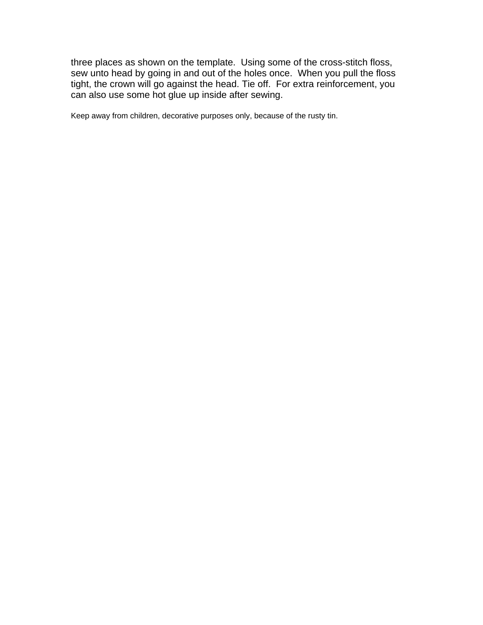three places as shown on the template. Using some of the cross-stitch floss, sew unto head by going in and out of the holes once. When you pull the floss tight, the crown will go against the head. Tie off. For extra reinforcement, you can also use some hot glue up inside after sewing.

Keep away from children, decorative purposes only, because of the rusty tin.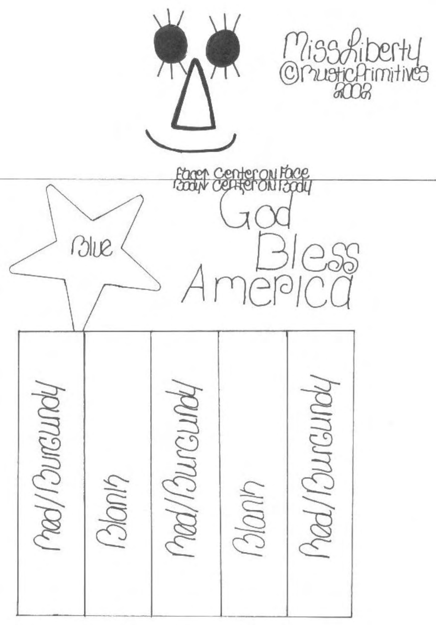